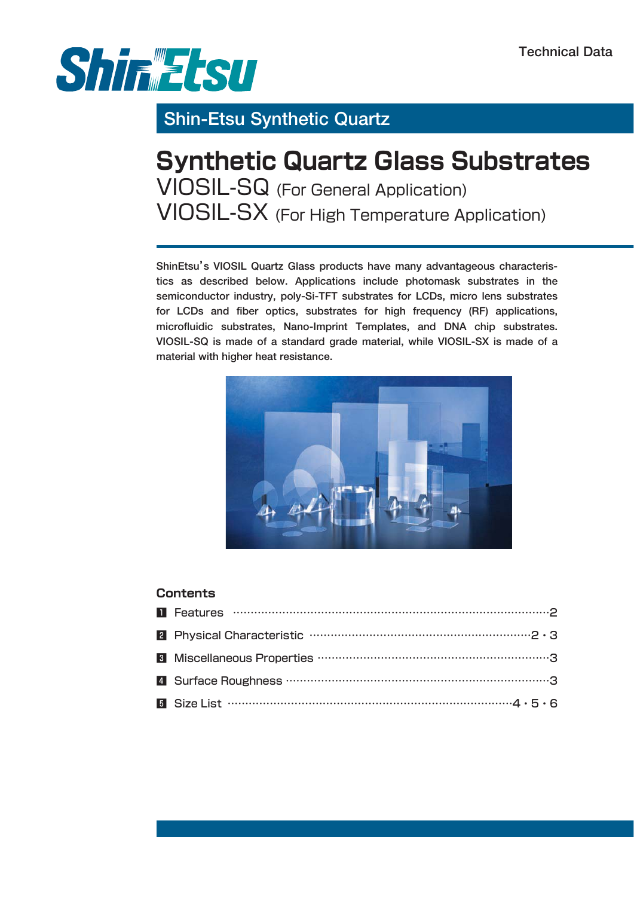

## **Shin-Etsu Synthetic Quartz**

# **Synthetic Quartz Glass Substrates** VIOSIL-SQ (For General Application) VIOSIL-SX (For High Temperature Application)

**ShinEtsu's VIOSIL Quartz Glass products have many advantageous characteristics as described below. Applications include photomask substrates in the semiconductor industry, poly-Si-TFT substrates for LCDs, micro lens substrates for LCDs and fiber optics, substrates for high frequency (RF) applications, microfluidic substrates, Nano-Imprint Templates, and DNA chip substrates. VIOSIL-SQ is made of a standard grade material, while VIOSIL-SX is made of a material with higher heat resistance.**



#### **Contents**

| <b>a</b> Size List $\cdots$ $\cdots$ $\cdots$ $\cdots$ $\cdots$ $\cdots$ $\cdots$ $\cdots$ $\cdots$ $\cdots$ $\cdots$ $\cdots$ $\cdots$ $\cdots$ $\cdots$ $\cdots$ $\cdots$ $\cdots$ $\cdots$ $\cdots$ $\cdots$ $\cdots$ $\cdots$ $\cdots$ $\cdots$ $\cdots$ $\cdots$ |
|-----------------------------------------------------------------------------------------------------------------------------------------------------------------------------------------------------------------------------------------------------------------------|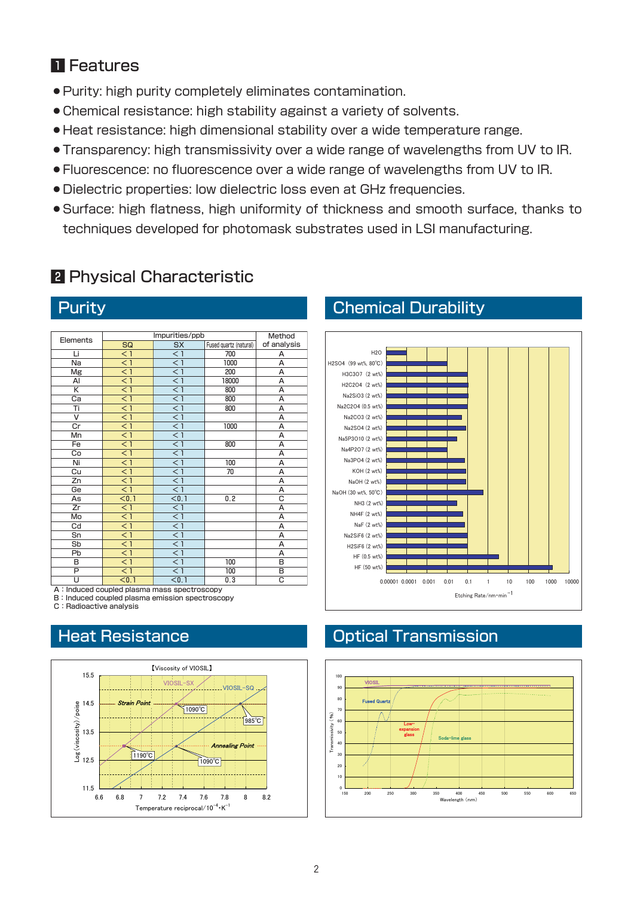### **n** Features

- 蘆Purity: high purity completely eliminates contamination.
- Chemical resistance: high stability against a variety of solvents.
- 蘆Heat resistance: high dimensional stability over a wide temperature range.
- **Transparency: high transmissivity over a wide range of wavelengths from UV to IR.**
- 蘆Fluorescence: no fluorescence over a wide range of wavelengths from UV to IR.
- 蘆Dielectric properties: low dielectric loss even at GHz frequencies.
- 蘆Surface: high flatness, high uniformity of thickness and smooth surface, thanks to techniques developed for photomask substrates used in LSI manufacturing.

### **2** Physical Characteristic

|                         | Impurities/ppb                   | Method           |                        |                |
|-------------------------|----------------------------------|------------------|------------------------|----------------|
| Elements                | <b>SX</b><br>SQ                  |                  | Fused quartz (natural) | of analysis    |
| Li                      | $\leq 1$                         | < 1              | 700                    | А              |
| Na                      | $\overline{<}$ 1                 | $\overline{1}$   | 1000                   | A              |
| Mg                      | $\overline{1}$                   | $\overline{<}$ 1 | 200                    | A              |
| AI                      | $\overline{<}$ 1                 | < 1              | 18000                  | А              |
| K                       | $\overline{<}$ 1                 | $\overline{<}$ 1 | 800                    | A              |
| Ca                      | $\leq 1$                         | $<$ 1            | 800                    | A              |
| Ti                      | $\overline{<}$ 1                 | < 1              | 800                    | A              |
| $\overline{\mathsf{v}}$ | $\overline{<}$ 1                 | $\overline{<}$ 1 |                        | Α              |
| Cr                      | < 1                              | < 1              | 1000                   | Α              |
| Mn                      | $\overline{<}$ 1                 | $<$ 1            |                        | А              |
| Fe                      | $\overline{<}$ 1                 | $\overline{<}$ 1 | 800                    | Α              |
| Co                      | $\overline{1}$                   | $\overline{1}$   |                        | $\overline{A}$ |
| Ni                      | $\overline{<}$ 1                 | $\overline{<}$ 1 | 100                    | Α              |
| Cu                      | $\leq 1$                         | < 1              | 70                     | Α              |
| Zn                      | $\overline{<}$ 1                 | $\overline{1}$   |                        | A              |
| Ge                      | $\overline{1}$<br>$\overline{1}$ |                  |                        | A              |
| As                      | $\overline{<}0.1$                | < 0.1            | 0.2                    | C              |
| Zr                      | $\overline{1}$                   | $\overline{1}$   |                        | A              |
| Mo                      | $\overline{<}$ 1                 | $\overline{1}$   |                        | Α              |
| Cd                      | $\overline{<}$ 1                 | < 1              |                        | A              |
| Sn                      | $\overline{1}$                   | $\overline{1}$   |                        | A              |
| Sb                      | < 1                              | < 1              |                        | A              |
| Pb                      | $\overline{<}$ 1                 | $<$ 1            |                        | А              |
| B                       | $\overline{<}$ 1                 | $\leq 1$         | 100                    | B              |
| P                       | $\overline{<}$ 1                 | $\overline{1}$   | 100                    | B              |
| U                       | < 0.1                            | < 0.1            | 0.3                    | C              |

A: Induced coupled plasma mass spectroscopy B: Induced coupled plasma emission spectroscopy

C: Radioactive analysis

### Heat Resistance



### **Purity Chemical Durability**



### Optical Transmission

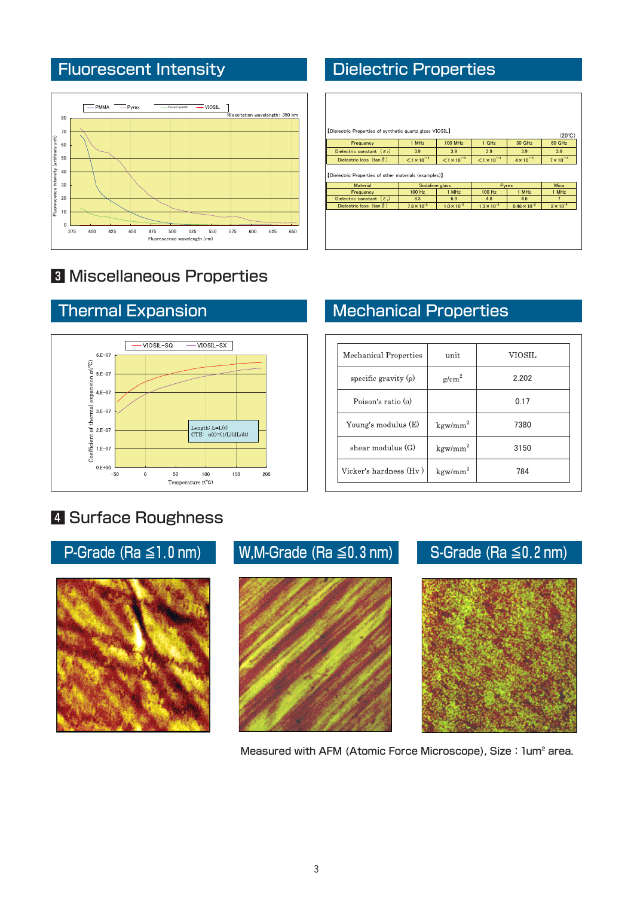

## **<sup>8</sup>** Miscellaneous Properties



## 4 Surface Roughness



Measured with AFM (Atomic Force Microscope), Size:1um<sup>2</sup> area.

## Fluorescent Intensity **Dielectric Properties**

|                                                       |                             |                             |                             |                              | $(20^{\circ}C)$                      |
|-------------------------------------------------------|-----------------------------|-----------------------------|-----------------------------|------------------------------|--------------------------------------|
| Frequency                                             | 1 MHz                       | <b>100 MHz</b>              | 1 GHz                       | 30 GHz                       | 60 GHz                               |
| Dielectric constant $(\varepsilon_1)$                 | 3.9                         | 3.9                         | 3.9                         | 3.9                          | 3.9                                  |
| Dielectric loss $(\tan \delta)$                       | $< 1 \times 10^{-4}$        | $< 1 \times 10^{-4}$        | $< 1 \times 10^{-4}$        | $4 \times 10^{-4}$           | $7 \times 10^{-4}$                   |
| [Dielectric Properties of other materials (examples)] |                             |                             |                             |                              |                                      |
| <b>Material</b>                                       | Sodalime glass              |                             |                             | Pyrex                        | <b>Mica</b>                          |
| Frequency                                             | 100 Hz                      | 1 MHz                       | 100 Hz                      | 1 MHz                        | 1 MHz                                |
| Dielectric constant $(\varepsilon)$                   | 8.3<br>$7.8 \times 10^{-2}$ | 6.9<br>$1.0 \times 10^{-2}$ | 4.8<br>$1.3 \times 10^{-2}$ | 4.6<br>$0.46 \times 10^{-2}$ | $\overline{7}$<br>$2 \times 10^{-4}$ |

## **Thermal Expansion Mechanical Properties**

| Mechanical Properties     | unit              | <b>VIOSIL</b> |
|---------------------------|-------------------|---------------|
| specific gravity $(\rho)$ | $\mathrm{g/cm}^2$ | 2.202         |
| Poison's ratio $\sigma$   |                   | 0.17          |
| Young's modulus $(E)$     | $\text{kgw/mm}^2$ | 7380          |
| shear modulus $(G)$       | $\text{kgw/mm}^2$ | 3150          |
| Vicker's hardness (Hv)    | $\text{kgw/mm}^2$ | 784           |

## P-Grade (Ra  $\leq$ 1.0 nm) W,M-Grade (Ra  $\leq$ 0.3 nm) S-Grade (Ra  $\leq$ 0.2 nm)

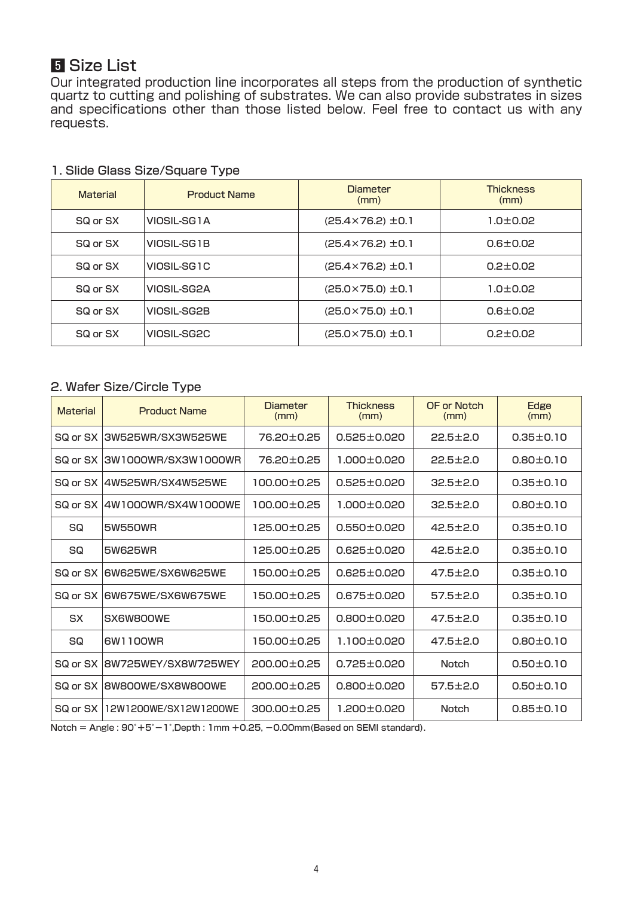### **F** Size List

Our integrated production line incorporates all steps from the production of synthetic quartz to cutting and polishing of substrates. We can also provide substrates in sizes and specifications other than those listed below. Feel free to contact us with any requests.

| <b>Material</b> | <b>Product Name</b> | Diameter<br>(mm)             | <b>Thickness</b><br>(mm) |
|-----------------|---------------------|------------------------------|--------------------------|
| SQ or SX        | VIOSIL-SG1A         | $(25.4 \times 76.2) \pm 0.1$ | $1.0 \pm 0.02$           |
| SQ or SX        | VIOSIL-SG1B         | $(25.4 \times 76.2) \pm 0.1$ | $0.6 \pm 0.02$           |
| SQ or SX        | VIOSIL-SG1C         | $(25.4 \times 76.2) \pm 0.1$ | $0.2 + 0.02$             |
| SQ or SX        | VIOSIL-SG2A         | $(25.0 \times 75.0) \pm 0.1$ | $1.0 \pm 0.02$           |
| SQ or SX        | VIOSIL-SG2B         | $(25.0 \times 75.0) \pm 0.1$ | $0.6 \pm 0.02$           |
| SQ or SX        | VIOSIL-SG2C         | $(25.0 \times 75.0) \pm 0.1$ | $0.2 \pm 0.02$           |

#### 1. Slide Glass Size/Square Type

#### 2. Wafer Size/Circle Type

| <b>Material</b> | <b>Product Name</b>   | Diameter<br>(mm) | <b>Thickness</b><br>(mm) | OF or Notch<br>(mm) | Edge<br>(mm)    |
|-----------------|-----------------------|------------------|--------------------------|---------------------|-----------------|
| SQ or SX        | 3W525WR/SX3W525WE     | 76.20±0.25       | $0.525 \pm 0.020$        | $22.5 \pm 2.0$      | $0.35 \pm 0.10$ |
| SQ or SX        | 3W1000WR/SX3W1000WR   | 76.20±0.25       | 1.000±0.020              | $22.5 \pm 2.0$      | $0.80 + 0.10$   |
| SQ or SX        | 4W525WR/SX4W525WE     | 100.00±0.25      | $0.525 \pm 0.020$        | $32.5 \pm 2.0$      | $0.35 \pm 0.10$ |
| SQ or SX        | 4W1000WR/SX4W1000WE   | 100.00±0.25      | 1.000±0.020              | $32.5 \pm 2.0$      | $0.80 \pm 0.10$ |
| SQ              | <b>5W550WR</b>        | 125.00±0.25      | $0.550 \pm 0.020$        | $42.5 \pm 2.0$      | $0.35 \pm 0.10$ |
| SQ              | 5W625WR               | 125.00±0.25      | $0.625 \pm 0.020$        | $42.5 \pm 2.0$      | $0.35 \pm 0.10$ |
| SQ or SX        | 6W625WE/SX6W625WE     | 150.00±0.25      | $0.625 \pm 0.020$        | $47.5 \pm 2.0$      | $0.35 \pm 0.10$ |
| SQ or SX        | 6W675WE/SX6W675WE     | 150.00±0.25      | $0.675 \pm 0.020$        | $57.5 \pm 2.0$      | $0.35 \pm 0.10$ |
| <b>SX</b>       | SX6W800WE             | 150.00±0.25      | $0.800 \pm 0.020$        | $47.5 \pm 2.0$      | $0.35 \pm 0.10$ |
| SQ              | 6W1100WR              | 150.00±0.25      | 1.100±0.020              | $47.5 \pm 2.0$      | $0.80 \pm 0.10$ |
| SQ or SX        | 8W725WEY/SX8W725WEY   | 200.00±0.25      | $0.725 \pm 0.020$        | <b>Notch</b>        | $0.50 \pm 0.10$ |
| SQ or SX        | 8W800WE/SX8W800WE     | 200.00±0.25      | $0.800 \pm 0.020$        | $57.5 \pm 2.0$      | $0.50 \pm 0.10$ |
| SQ or SX        | 12W1200WE/SX12W1200WE | 300.00±0.25      | 1.200±0.020              | <b>Notch</b>        | $0.85 \pm 0.10$ |

 $Notch = Angle : 90° + 5° - 1°$ , Depth: 1mm +0.25, -0.00mm (Based on SEMI standard).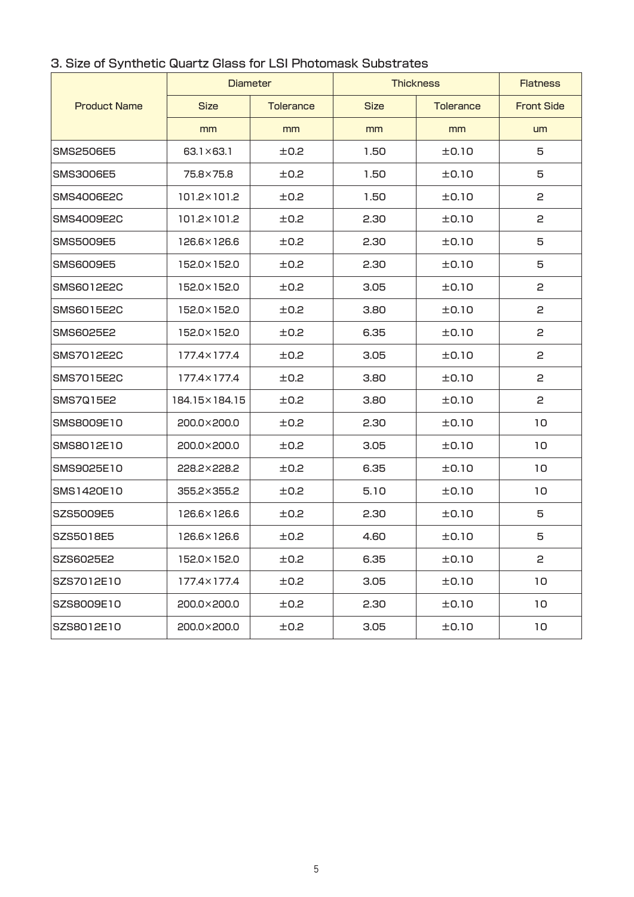|                     | <b>Diameter</b>    |                  | <b>Thickness</b> | <b>Flatness</b>  |                   |
|---------------------|--------------------|------------------|------------------|------------------|-------------------|
| <b>Product Name</b> | <b>Size</b>        | <b>Tolerance</b> | <b>Size</b>      | <b>Tolerance</b> | <b>Front Side</b> |
|                     | mm                 | mm               | mm               | mm               | um                |
| SMS2506E5           | $63.1 \times 63.1$ | ±0.2             | 1.50             | ±0.10            | 5                 |
| SMS3006E5           | 75.8×75.8          | ±0.2             | 1.50             | ±0.10            | 5                 |
| <b>SMS4006E2C</b>   | 101.2×101.2        | ±0.2             | 1.50             | ±0.10            | 2                 |
| <b>SMS4009E2C</b>   | 101.2×101.2        | ±0.2             | 2.30             | ±0.10            | 2                 |
| SMS5009E5           | 126.6×126.6        | ±0.2             | 2.30             | ±0.10            | 5                 |
| SMS6009E5           | 152.0×152.0        | ±0.2             | 2.30             | ±0.10            | 5                 |
| SMS6012E2C          | 152.0×152.0        | ±0.2             | 3.05             | ±0.10            | 2                 |
| SMS6015E2C          | 152.0×152.0        | ±0.2             | 3.80             | ±0.10            | 2                 |
| SMS6025E2           | 152.0×152.0        | ±0.2             | 6.35             | ±0.10            | 2                 |
| SMS7012E2C          | 177.4×177.4        | ±0.2             | 3.05             | ±0.10            | 2                 |
| SMS7015E2C          | 177.4×177.4        | ±0.2             | 3.80             | ±0.10            | 2                 |
| SMS7Q15E2           | 184.15×184.15      | ±0.2             | 3.80             | ±0.10            | 2                 |
| SMS8009E10          | 200.0×200.0        | ±0.2             | 2.30             | ±0.10            | 10                |
| SMS8012E10          | 200.0×200.0        | ±0.2             | 3.05             | ±0.10            | 10                |
| SMS9025E10          | 228.2×228.2        | ±0.2             | 6.35             | ±0.10            | 10                |
| SMS1420E10          | 355.2×355.2        | ±0.2             | 5.10             | ±0.10            | 10                |
| SZS5009E5           | 126.6×126.6        | ±0.2             | 2.30             | ±0.10            | 5                 |
| SZS5018E5           | 126.6×126.6        | ±0.2             | 4.60             | ±0.10            | 5                 |
| SZS6025E2           | 152.0×152.0        | ±0.2             | 6.35             | ±0.10            | 2                 |
| SZS7012E10          | 177.4×177.4        | ±0.2             | 3.05             | ±0.10            | 10                |
| SZS8009E10          | 200.0×200.0        | ±0.2             | 2.30             | ±0.10            | 10                |
| SZS8012E10          | 200.0×200.0        | ±0.2             | 3.05             | ±0.10            | 10                |

#### 3. Size of Synthetic Quartz Glass for LSI Photomask Substrates